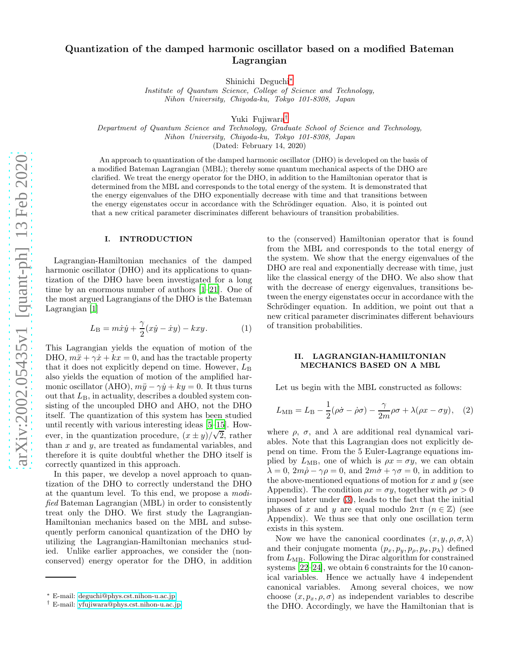# Quantization of the damped harmonic oscillator based on a modified Bateman Lagrangian

Shinichi Deguchi[∗](#page-0-0)

Institute of Quantum Science, College of Science and Technology, Nihon University, Chiyoda-ku, Tokyo 101-8308, Japan

Yuki Fujiwara[†](#page-0-1)

Department of Quantum Science and Technology, Graduate School of Science and Technology, Nihon University, Chiyoda-ku, Tokyo 101-8308, Japan

(Dated: February 14, 2020)

An approach to quantization of the damped harmonic oscillator (DHO) is developed on the basis of a modified Bateman Lagrangian (MBL); thereby some quantum mechanical aspects of the DHO are clarified. We treat the energy operator for the DHO, in addition to the Hamiltonian operator that is determined from the MBL and corresponds to the total energy of the system. It is demonstrated that the energy eigenvalues of the DHO exponentially decrease with time and that transitions between the energy eigenstates occur in accordance with the Schrödinger equation. Also, it is pointed out that a new critical parameter discriminates different behaviours of transition probabilities.

#### I. INTRODUCTION

Lagrangian-Hamiltonian mechanics of the damped harmonic oscillator (DHO) and its applications to quantization of the DHO have been investigated for a long time by an enormous number of authors [\[1–](#page-6-0)[21\]](#page-6-1). One of the most argued Lagrangians of the DHO is the Bateman Lagrangian [\[1\]](#page-6-0)

$$
L_{\rm B} = m\dot{x}\dot{y} + \frac{\gamma}{2}(x\dot{y} - \dot{x}y) - kxy.
$$
 (1)

This Lagrangian yields the equation of motion of the DHO,  $m\ddot{x} + \gamma \dot{x} + kx = 0$ , and has the tractable property that it does not explicitly depend on time. However,  $L_{\text{B}}$ also yields the equation of motion of the amplified harmonic oscillator (AHO),  $m\ddot{y} - \gamma \dot{y} + ky = 0$ . It thus turns out that  $L_{\text{B}}$ , in actuality, describes a doubled system consisting of the uncoupled DHO and AHO, not the DHO itself. The quantization of this system has been studied until recently with various interesting ideas [\[5](#page-6-2)[–15\]](#page-6-3). However, in the quantization procedure,  $(x \pm y)/\sqrt{2}$ , rather than  $x$  and  $y$ , are treated as fundamental variables, and therefore it is quite doubtful whether the DHO itself is correctly quantized in this approach.

In this paper, we develop a novel approach to quantization of the DHO to correctly understand the DHO at the quantum level. To this end, we propose a modified Bateman Lagrangian (MBL) in order to consistently treat only the DHO. We first study the Lagrangian-Hamiltonian mechanics based on the MBL and subsequently perform canonical quantization of the DHO by utilizing the Lagrangian-Hamiltonian mechanics studied. Unlike earlier approaches, we consider the (nonconserved) energy operator for the DHO, in addition

to the (conserved) Hamiltonian operator that is found from the MBL and corresponds to the total energy of the system. We show that the energy eigenvalues of the DHO are real and exponentially decrease with time, just like the classical energy of the DHO. We also show that with the decrease of energy eigenvalues, transitions between the energy eigenstates occur in accordance with the Schrödinger equation. In addition, we point out that a new critical parameter discriminates different behaviours of transition probabilities.

# <span id="page-0-2"></span>II. LAGRANGIAN-HAMILTONIAN MECHANICS BASED ON A MBL

Let us begin with the MBL constructed as follows:

$$
L_{\rm MB} = L_{\rm B} - \frac{1}{2} (\rho \dot{\sigma} - \dot{\rho} \sigma) - \frac{\gamma}{2m} \rho \sigma + \lambda (\rho x - \sigma y), \quad (2)
$$

where  $\rho$ ,  $\sigma$ , and  $\lambda$  are additional real dynamical variables. Note that this Lagrangian does not explicitly depend on time. From the 5 Euler-Lagrange equations implied by  $L_{\text{MB}}$ , one of which is  $\rho x = \sigma y$ , we can obtain  $\lambda = 0$ ,  $2m\dot{\rho} - \gamma \rho = 0$ , and  $2m\dot{\sigma} + \gamma \sigma = 0$ , in addition to the above-mentioned equations of motion for  $x$  and  $y$  (see Appendix). The condition  $\rho x = \sigma y$ , together with  $\rho \sigma > 0$ imposed later under [\(3\)](#page-1-0), leads to the fact that the initial phases of x and y are equal modulo  $2n\pi$  ( $n \in \mathbb{Z}$ ) (see Appendix). We thus see that only one oscillation term exists in this system.

Now we have the canonical coordinates  $(x, y, \rho, \sigma, \lambda)$ and their conjugate momenta  $(p_x, p_y, p_\rho, p_\sigma, p_\lambda)$  defined from  $L_{\text{MB}}$ . Following the Dirac algorithm for constrained systems [\[22](#page-6-4)[–24\]](#page-6-5), we obtain 6 constraints for the 10 canonical variables. Hence we actually have 4 independent canonical variables. Among several choices, we now choose  $(x, p_x, \rho, \sigma)$  as independent variables to describe the DHO. Accordingly, we have the Hamiltonian that is

<span id="page-0-0"></span><sup>∗</sup> E-mail: [deguchi@phys.cst.nihon-u.ac.jp](mailto:deguchi@phys.cst.nihon-u.ac.jp)

<span id="page-0-1"></span><sup>†</sup> E-mail: [yfujiwara@phys.cst.nihon-u.ac.jp](mailto:yfujiwara@phys.cst.nihon-u.ac.jp)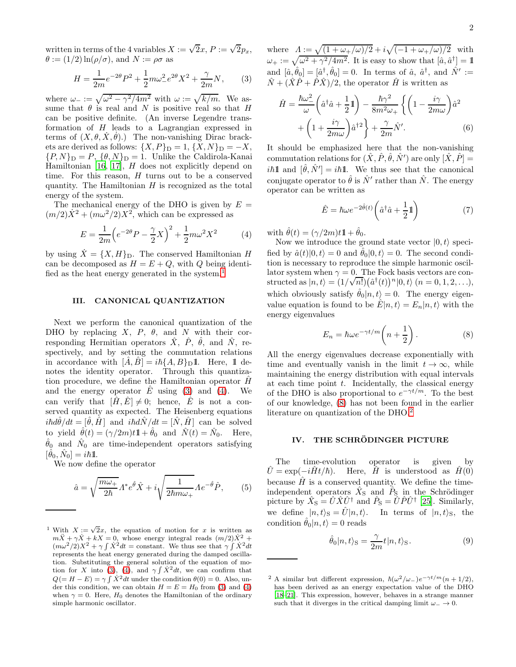written in terms of the 4 variables  $X := \sqrt{2}x$ ,  $P := \sqrt{2}p_x$ ,  $\theta := (1/2) \ln(\rho/\sigma)$ , and  $N := \rho \sigma$  as

$$
H = \frac{1}{2m}e^{-2\theta}P^2 + \frac{1}{2}m\omega_{-}^2e^{2\theta}X^2 + \frac{\gamma}{2m}N,\qquad(3)
$$

where  $\omega_- := \sqrt{\omega^2 - \gamma^2/4m^2}$  with  $\omega := \sqrt{k/m}$ . We assume that  $\theta$  is real and N is positive real so that H can be positive definite. (An inverse Legendre transformation of  $H$  leads to a Lagrangian expressed in terms of  $(X, \theta, X, \theta)$ .) The non-vanishing Dirac brackets are derived as follows:  $\{X, P\}_{\text{D}} = 1, \{X, N\}_{\text{D}} = -X$ ,  ${P, N}_D = P, \{\theta, N\}_D = 1.$  Unlike the Caldirola-Kanai Hamiltonian [\[16](#page-6-6), [17](#page-6-7)],  $H$  does not explicitly depend on time. For this reason,  $H$  turns out to be a conserved quantity. The Hamiltonian  $H$  is recognized as the total energy of the system.

The mechanical energy of the DHO is given by  $E =$  $(m/2)\dot{X}^2 + (m\omega^2/2)X^2$ , which can be expressed as

$$
E = \frac{1}{2m} \left( e^{-2\theta} P - \frac{\gamma}{2} X \right)^2 + \frac{1}{2} m \omega^2 X^2 \tag{4}
$$

by using  $\dot{X} = \{X, H\}_{\text{D}}$ . The conserved Hamiltonian H can be decomposed as  $H = E + Q$ , with Q being identi-fied as the heat energy generated in the system.<sup>[1](#page-1-1)</sup>

# III. CANONICAL QUANTIZATION

Next we perform the canonical quantization of the DHO by replacing  $X$ ,  $P$ ,  $\theta$ , and N with their corresponding Hermitian operators  $\hat{X}$ ,  $\hat{P}$ ,  $\hat{\theta}$ , and  $\hat{N}$ , respectively, and by setting the commutation relations in accordance with  $[A, B] = i\hbar \{A, B\}_{\text{D}} \mathbb{1}$ . Here, 1 denotes the identity operator. Through this quantization procedure, we define the Hamiltonian operator  $\hat{H}$ and the energy operator  $E$  using [\(3\)](#page-1-0) and [\(4\)](#page-1-2). We can verify that  $[\hat{H}, \hat{E}] \neq 0$ ; hence,  $\hat{E}$  is not a conserved quantity as expected. The Heisenberg equations  $i\hbar d\hat{\theta}/dt = [\hat{\theta}, \hat{H}]$  and  $i\hbar d\hat{N}/dt = [\hat{N}, \hat{H}]$  can be solved to yield  $\hat{\theta}(t) = (\gamma/2m)t\mathbb{1} + \hat{\theta}_0$  and  $\hat{N}(t) = \hat{N}_0$ . Here,  $\hat{\theta}_0$  and  $\hat{N}_0$  are time-independent operators satisfying  $[\hat{\theta}_0, \hat{N}_0] = i\hbar \mathbb{1}.$ 

We now define the operator

$$
\hat{a} = \sqrt{\frac{m\omega_{+}}{2\hbar}} \Lambda^* e^{\hat{\theta}} \hat{X} + i \sqrt{\frac{1}{2\hbar m\omega_{+}}} \Lambda e^{-\hat{\theta}} \hat{P}, \qquad (5)
$$

<span id="page-1-0"></span>where  $A := \sqrt{(1 + \omega_+/\omega)/2} + i\sqrt{(-1 + \omega_+/\omega)/2}$  with  $\omega_+ := \sqrt{\omega^2 + \gamma^2/4m^2}$ . It is easy to show that  $[\hat{a}, \hat{a}^\dagger] = \mathbb{1}$ and  $[\hat{a}, \hat{\theta}_0] = [\hat{a}^\dagger, \hat{\theta}_0] = 0$ . In terms of  $\hat{a}$ ,  $\hat{a}^\dagger$ , and  $\hat{N}' :=$  $\hat{N} + (\hat{X}\hat{P} + \hat{P}\hat{X})/2$ , the operator  $\hat{H}$  is written as

$$
\hat{H} = \frac{\hbar\omega_{-}^{2}}{\omega} \left(\hat{a}^{\dagger}\hat{a} + \frac{1}{2}\mathbb{1}\right) - \frac{\hbar\gamma^{2}}{8m^{2}\omega_{+}} \left\{ \left(1 - \frac{i\gamma}{2m\omega}\right)\hat{a}^{2} + \left(1 + \frac{i\gamma}{2m\omega}\right)\hat{a}^{\dagger 2} \right\} + \frac{\gamma}{2m}\hat{N}'.\tag{6}
$$

It should be emphasized here that the non-vanishing commutation relations for  $(\hat{X}, \hat{P}, \hat{\theta}, \hat{N}')$  are only  $[\hat{X}, \hat{P}] =$ *ih*<sup>1</sup> and  $[\hat{\theta}, \hat{N}'] = i\hbar$ <sup>1</sup>. We thus see that the canonical conjugate operator to  $\hat{\theta}$  is  $\hat{N}'$  rather than  $\hat{N}$ . The energy operator can be written as

<span id="page-1-7"></span><span id="page-1-6"></span>
$$
\hat{E} = \hbar \omega e^{-2\hat{\theta}(t)} \left( \hat{a}^\dagger \hat{a} + \frac{1}{2} \mathbb{1} \right) \tag{7}
$$

<span id="page-1-2"></span>with  $\hat{\theta}(t) = (\gamma/2m)t\mathbb{1} + \hat{\theta}_0$ .

Now we introduce the ground state vector  $|0, t\rangle$  specified by  $\hat{a}(t)|0, t\rangle = 0$  and  $\hat{\theta}_0|0, t\rangle = 0$ . The second condition is necessary to reproduce the simple harmonic oscillator system when  $\gamma = 0$ . The Fock basis vectors are constructed as  $|n, t\rangle = (1/\sqrt{n!}) (\hat{a}^{\dagger}(t))^n |0, t\rangle$   $(n = 0, 1, 2, ...),$ which obviously satisfy  $\hat{\theta}_0|n, t\rangle = 0$ . The energy eigenvalue equation is found to be  $\hat{E}|n,t\rangle = E_n|n,t\rangle$  with the energy eigenvalues

<span id="page-1-3"></span>
$$
E_n = \hbar \omega e^{-\gamma t/m} \left( n + \frac{1}{2} \right). \tag{8}
$$

All the energy eigenvalues decrease exponentially with time and eventually vanish in the limit  $t \to \infty$ , while maintaining the energy distribution with equal intervals at each time point  $t$ . Incidentally, the classical energy of the DHO is also proportional to  $e^{-\gamma t/m}$ . To the best of our knowledge, [\(8\)](#page-1-3) has not been found in the earlier literature on quantization of the DHO.[2](#page-1-4)

## IV. THE SCHRÖDINGER PICTURE

The time-evolution operator is given by  $\hat{U} = \exp(-i\hat{H}t/\hbar)$ . Here,  $\hat{H}$  is understood as  $\hat{H}(0)$ because  $\hat{H}$  is a conserved quantity. We define the timeindependent operators  $\hat{X}_S$  and  $\hat{P}_S$  in the Schrödinger picture by  $\hat{X}_{\text{S}} = \hat{U}\hat{X}\hat{U}^{\dagger}$  and  $\hat{P}_{\text{S}} = \hat{U}\hat{P}\hat{U}^{\dagger}$  [\[25](#page-6-8)]. Similarly, we define  $|n, t\rangle_{\rm S} = \tilde{U}|n, t\rangle$ . In terms of  $|n, t\rangle_{\rm S}$ , the condition  $\hat{\theta}_0|n, t\rangle = 0$  reads

<span id="page-1-5"></span>
$$
\hat{\theta}_0 |n, t\rangle_{\mathcal{S}} = \frac{\gamma}{2m} t |n, t\rangle_{\mathcal{S}}.
$$
\n(9)

<span id="page-1-1"></span><sup>&</sup>lt;sup>1</sup> With  $X := \sqrt{2}x$ , the equation of motion for x is written as  $m\ddot{X} + \gamma \dot{X} + kX = 0$ , whose energy integral reads  $(m/2)\dot{X}^2$  +  $(m\omega^2/2)X^2 + \gamma \int X^2 dt = \text{constant}$ . We thus see that  $\gamma \int X^2 dt$ represents the heat energy generated during the damped oscillation. Substituting the general solution of the equation of mo-tion for X into [\(3\)](#page-1-0), [\(4\)](#page-1-2), and  $\gamma \int \dot{X}^2 dt$ , we can confirm that  $Q(=H-E) = \gamma \int \dot{X}^2 dt$  under the condition  $\theta(0) = 0$ . Also, under this condition, we can obtain  $H = E = H_0$  from [\(3\)](#page-1-0) and [\(4\)](#page-1-2) when  $\gamma = 0$ . Here,  $H_0$  denotes the Hamiltonian of the ordinary simple harmonic oscillator.

<span id="page-1-4"></span><sup>&</sup>lt;sup>2</sup> A similar but different expression,  $\hbar(\omega^2/\omega_-)e^{-\gamma t/m}(n+1/2)$ , has been derived as an energy expectation value of the DHO [\[18](#page-6-9)[–21\]](#page-6-1). This expression, however, behaves in a strange manner such that it diverges in the critical damping limit  $\omega_-\to 0$ .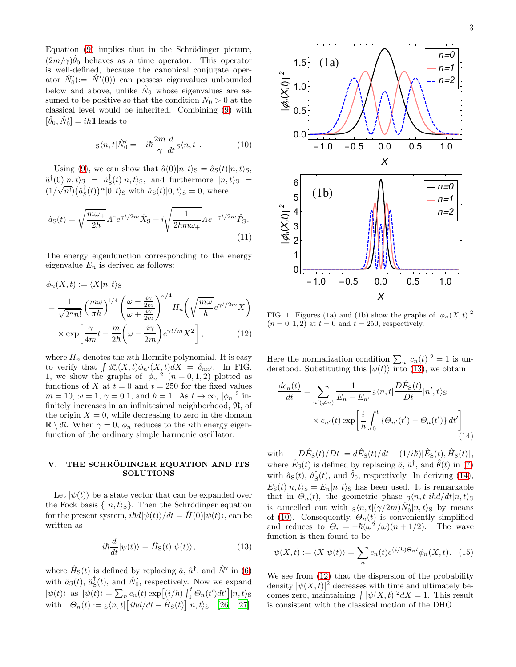Equation  $(9)$  implies that in the Schrödinger picture,  $(2m/\gamma)\hat{\theta}_0$  behaves as a time operator. This operator is well-defined, because the canonical conjugate operator  $\hat{N}'_0 := \hat{N}'(0)$  can possess eigenvalues unbounded below and above, unlike  $\hat{N}_0$  whose eigenvalues are assumed to be positive so that the condition  $N_0 > 0$  at the classical level would be inherited. Combining [\(9\)](#page-1-5) with  $[\hat{\theta}_0, \hat{N}'_0] = i\hbar \mathbb{1}$  leads to

$$
s\langle n,t|\hat{N}'_0 = -i\hbar \frac{2m}{\gamma} \frac{d}{dt} s\langle n,t|.
$$
 (10)

Using [\(9\)](#page-1-5), we can show that  $\hat{a}(0)|n,t\rangle_{\rm S} = \hat{a}_{\rm S}(t)|n,t\rangle_{\rm S}$ ,  $\hat{a}^{\dagger}(0)|n, t\rangle_{\mathcal{S}} = \hat{a}^{\dagger}_{\mathcal{S}}(t)|n, t\rangle_{\mathcal{S}},$  and furthermore  $|n, t\rangle_{\mathcal{S}} =$  $(1/\sqrt{n!}) (\hat{a}_{\rm S}^{\dagger}(t))^n |0, t\rangle_{\rm S}$  with  $\hat{a}_{\rm S}(t) |0, t\rangle_{\rm S} = 0$ , where

$$
\hat{a}_{\rm S}(t) = \sqrt{\frac{m\omega_{+}}{2\hbar}} \Lambda^* e^{\gamma t/2m} \hat{X}_{\rm S} + i \sqrt{\frac{1}{2\hbar m\omega_{+}}} \Lambda e^{-\gamma t/2m} \hat{P}_{\rm S}.
$$
\n(11)

The energy eigenfunction corresponding to the energy eigenvalue  $E_n$  is derived as follows:

$$
\phi_n(X,t) := \langle X|n,t\rangle_{\mathcal{S}}
$$
  
= 
$$
\frac{1}{\sqrt{2^n n!}} \left(\frac{m\omega}{\pi\hbar}\right)^{1/4} \left(\frac{\omega - \frac{i\gamma}{2m}}{\omega + \frac{i\gamma}{2m}}\right)^{n/4} H_n\left(\sqrt{\frac{m\omega}{\hbar}}e^{\gamma t/2m}X\right)
$$
  

$$
\times \exp\left[\frac{\gamma}{4m}t - \frac{m}{2\hbar}\left(\omega - \frac{i\gamma}{2m}\right)e^{\gamma t/m}X^2\right],
$$
 (12)

where  $H_n$  denotes the *n*th Hermite polynomial. It is easy to verify that  $\int \phi_n^*(X,t)\phi_{n'}(X,t)dX = \delta_{nn'}$ . In FIG. 1, we show the graphs of  $|\phi_n|^2$   $(n = 0, 1, 2)$  plotted as functions of X at  $t = 0$  and  $t = 250$  for the fixed values  $m = 10, \omega = 1, \gamma = 0.1, \text{ and } \hbar = 1. \text{ As } t \to \infty, |\phi_n|^2 \text{ in-}$ finitely increases in an infinitesimal neighborhood,  $\mathfrak{N}$ , of the origin  $X = 0$ , while decreasing to zero in the domain  $\mathbb{R} \setminus \mathfrak{N}$ . When  $\gamma = 0$ ,  $\phi_n$  reduces to the *n*th energy eigenfunction of the ordinary simple harmonic oscillator.

#### V. THE SCHRÖDINGER EQUATION AND ITS **SOLUTIONS**

Let  $|\psi(t)\rangle$  be a state vector that can be expanded over the Fock basis  $\{|n, t\rangle_{\mathcal{S}}\}.$  Then the Schrödinger equation for the present system,  $i\hbar d|\psi(t)\rangle/dt = H(0)|\psi(t)\rangle$ , can be written as

$$
i\hbar \frac{d}{dt} |\psi(t)\rangle = \hat{H}_{\rm S}(t) |\psi(t)\rangle, \qquad (13)
$$

where  $\hat{H}_{\rm S}(t)$  is defined by replacing  $\hat{a}$ ,  $\hat{a}^{\dagger}$ , and  $\hat{N}'$  in [\(6\)](#page-1-6) with  $\hat{a}_{\rm S}(t)$ ,  $\hat{a}_{\rm S}^{\dagger}(t)$ , and  $\hat{N}'_0$ , respectively. Now we expand  $|\psi(t)\rangle$  as  $|\psi(t)\rangle = \sum_n c_n(t) \exp[(i/\hbar) \int_0^t \Theta_n(t') dt'] |n, t\rangle_S$ with  $\Theta_n(t) := s \langle n, t | [i \hbar d/dt - \hat{H}_S(t)] | n, t \rangle_S$  [\[26,](#page-6-10) [27\]](#page-6-11).

<span id="page-2-2"></span>

<span id="page-2-3"></span>FIG. 1. Figures (1a) and (1b) show the graphs of  $|\phi_n(X, t)|^2$  $(n = 0, 1, 2)$  at  $t = 0$  and  $t = 250$ , respectively.

Here the normalization condition  $\sum_n |c_n(t)|^2 = 1$  is understood. Substituting this  $|\psi(t)\rangle$  into [\(13\)](#page-2-0), we obtain

<span id="page-2-1"></span>
$$
\frac{dc_n(t)}{dt} = \sum_{n' \neq n} \frac{1}{E_n - E_{n'}} \mathbf{s} \langle n, t | \frac{D\hat{E}_{\mathbf{S}}(t)}{Dt} | n', t \rangle_{\mathbf{S}}
$$

$$
\times c_{n'}(t) \exp\left[\frac{i}{\hbar} \int_0^t \left\{\Theta_{n'}(t') - \Theta_n(t')\right\} dt'\right]
$$
(14)

with  $D\hat{E}_{S}(t)/Dt := d\hat{E}_{S}(t)/dt + (1/i\hbar)[\hat{E}_{S}(t), \hat{H}_{S}(t)],$ where  $\hat{E}_{\rm S}(t)$  is defined by replacing  $\hat{a}$ ,  $\hat{a}^{\dagger}$ , and  $\hat{\theta}(t)$  in [\(7\)](#page-1-7) with  $\hat{a}_{\rm S}(t)$ ,  $\hat{a}_{\rm S}^{\dagger}(t)$ , and  $\hat{\theta}_0$ , respectively. In deriving [\(14\)](#page-2-1),  $\hat{E}_{\rm S}(t) |n, t\rangle_{\rm S} = E_n |n, t\rangle_{\rm S}$  has been used. It is remarkable that in  $\Theta_n(t)$ , the geometric phase  $\sin(n, t)$  that  $\sin(n, t)$  s is cancelled out with  $s\langle n, t | (\gamma/2m) \hat{N}'_0 | n, t \rangle_s$  by means of [\(10\)](#page-2-2). Consequently,  $\Theta_n(t)$  is conveniently simplified and reduces to  $\Theta_n = -\hbar(\omega^2/\omega)(n+1/2)$ . The wave function is then found to be

<span id="page-2-0"></span>
$$
\psi(X,t) := \langle X | \psi(t) \rangle = \sum_{n} c_n(t) e^{(i/\hbar) \Theta_n t} \phi_n(X,t). \tag{15}
$$

We see from  $(12)$  that the dispersion of the probability density  $|\psi(X,t)|^2$  decreases with time and ultimately becomes zero, maintaining  $\int |\psi(X, t)|^2 dX = 1$ . This result is consistent with the classical motion of the DHO.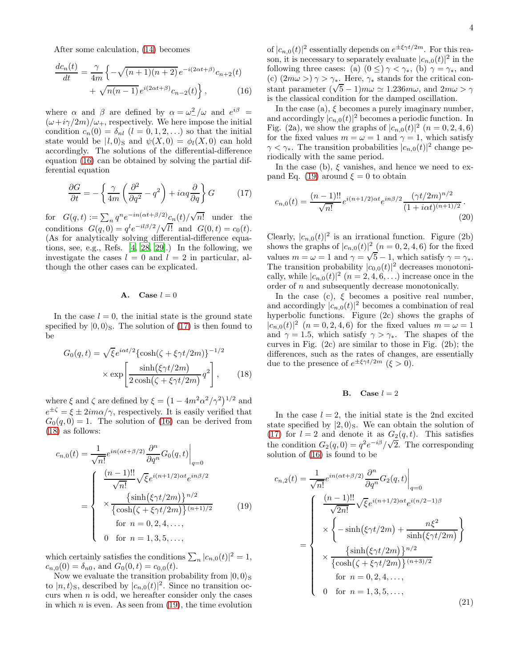After some calculation, [\(14\)](#page-2-1) becomes

$$
\frac{dc_n(t)}{dt} = \frac{\gamma}{4m} \left\{ -\sqrt{(n+1)(n+2)} \, e^{-i(2\alpha t + \beta)} c_{n+2}(t) + \sqrt{n(n-1)} \, e^{i(2\alpha t + \beta)} c_{n-2}(t) \right\},\tag{16}
$$

where  $\alpha$  and  $\beta$  are defined by  $\alpha = \omega_-^2/\omega$  and  $e^{i\beta}$  =  $(\omega+i\gamma/2m)/\omega_{+}$ , respectively. We here impose the initial condition  $c_n(0) = \delta_{nl}$   $(l = 0, 1, 2, ...)$  so that the initial state would be  $|l, 0\rangle$ <sub>S</sub> and  $\psi(X, 0) = \phi_l(X, 0)$  can hold accordingly. The solutions of the differential-difference equation [\(16\)](#page-3-0) can be obtained by solving the partial differential equation

$$
\frac{\partial G}{\partial t} = -\left\{ \frac{\gamma}{4m} \left( \frac{\partial^2}{\partial q^2} - q^2 \right) + i\alpha q \frac{\partial}{\partial q} \right\} G \tag{17}
$$

for  $G(q,t) := \sum_n q^n e^{-in(\alpha t + \beta/2)} c_n(t) / \sqrt{n!}$  under the conditions  $G(q, 0) = q^l e^{-il\beta/2} / \sqrt{l!}$  and  $G(0, t) = c_0(t)$ . (As for analytically solving differential-difference equations, see, e.g., Refs. [\[4](#page-6-12), [28](#page-6-13), [29](#page-6-14)].) In the following, we investigate the cases  $l = 0$  and  $l = 2$  in particular, although the other cases can be explicated.

#### A. Case  $l = 0$

In the case  $l = 0$ , the initial state is the ground state specified by  $|0, 0\rangle$ <sub>S</sub>. The solution of [\(17\)](#page-3-1) is then found to be

$$
G_0(q,t) = \sqrt{\xi}e^{i\alpha t/2} \{\cosh(\zeta + \xi \gamma t/2m)\}^{-1/2}
$$

$$
\times \exp\left[\frac{\sinh(\xi \gamma t/2m)}{2\cosh(\zeta + \xi \gamma t/2m)}q^2\right], \qquad (18)
$$

where  $\xi$  and  $\zeta$  are defined by  $\xi = (1 - 4m^2\alpha^2/\gamma^2)^{1/2}$  and  $e^{\pm \zeta} = \xi \pm 2im\alpha/\gamma$ , respectively. It is easily verified that  $G_0(q, 0) = 1$ . The solution of [\(16\)](#page-3-0) can be derived from [\(18\)](#page-3-2) as follows:

$$
c_{n,0}(t) = \frac{1}{\sqrt{n!}} e^{in(\alpha t + \beta/2)} \frac{\partial^n}{\partial q^n} G_0(q, t) \Big|_{q=0}
$$

$$
= \begin{cases} \frac{(n-1)!!}{\sqrt{n!}} \sqrt{\xi} e^{i(n+1/2)\alpha t} e^{in\beta/2} \\ \times \frac{\{\sinh(\xi \gamma t/2m)\}^{n/2}}{\{\cosh(\zeta + \xi \gamma t/2m)\}^{(n+1)/2}} \\ \text{for } n = 0, 2, 4, ..., \\ 0 \text{ for } n = 1, 3, 5, ..., \end{cases} (19)
$$

which certainly satisfies the conditions  $\sum_n |c_{n,0}(t)|^2 = 1$ ,  $c_{n,0}(0) = \delta_{n0}$ , and  $G_0(0,t) = c_{0,0}(t)$ .

Now we evaluate the transition probability from  $|0, 0\rangle_S$ to  $|n, t\rangle$ <sub>S</sub>, described by  $|c_{n,0}(t)|^2$ . Since no transition occurs when  $n$  is odd, we hereafter consider only the cases in which  $n$  is even. As seen from  $(19)$ , the time evolution

of  $|c_{n,0}(t)|^2$  essentially depends on  $e^{\pm \xi \gamma t/2m}$ . For this reason, it is necessary to separately evaluate  $|c_{n,0}(t)|^2$  in the following three cases: (a)  $(0 \leq) \gamma < \gamma_*$ , (b)  $\gamma = \gamma_*$ , and (c)  $(2m\omega >)\gamma > \gamma_*$ . Here,  $\gamma_*$  stands for the critical constant parameter  $(\sqrt{5}-1) m\omega \simeq 1.236 m\omega$ , and  $2m\omega > \gamma$ is the classical condition for the damped oscillation.

<span id="page-3-0"></span>In the case (a),  $\xi$  becomes a purely imaginary number, and accordingly  $|c_{n,0}(t)|^2$  becomes a periodic function. In Fig. (2a), we show the graphs of  $|c_{n,0}(t)|^2$   $(n = 0, 2, 4, 6)$ for the fixed values  $m = \omega = 1$  and  $\gamma = 1$ , which satisfy  $\gamma < \gamma_*$ . The transition probabilities  $|c_{n,0}(t)|^2$  change periodically with the same period.

<span id="page-3-1"></span>In the case (b),  $\xi$  vanishes, and hence we need to ex-pand Eq. [\(19\)](#page-3-3) around  $\xi = 0$  to obtain

$$
c_{n,0}(t) = \frac{(n-1)!!}{\sqrt{n!}} e^{i(n+1/2)\alpha t} e^{in\beta/2} \frac{(\gamma t/2m)^{n/2}}{(1+i\alpha t)^{(n+1)/2}}.
$$
\n(20)

Clearly,  $|c_{n,0}(t)|^2$  is an irrational function. Figure (2b) shows the graphs of  $|c_{n,0}(t)|^2 \cdot (n = 0, 2, 4, 6)$  for the fixed values  $m = \omega = 1$  and  $\gamma = \sqrt{5} - 1$ , which satisfy  $\gamma = \gamma_*$ . The transition probability  $|c_{0,0}(t)|^2$  decreases monotonically, while  $|c_{n,0}(t)|^2$   $(n = 2, 4, 6, ...)$  increase once in the order of n and subsequently decrease monotonically.

In the case (c),  $\xi$  becomes a positive real number, and accordingly  $|c_{n,0}(t)|^2$  becomes a combination of real hyperbolic functions. Figure (2c) shows the graphs of  $|c_{n,0}(t)|^2$   $(n = 0, 2, 4, 6)$  for the fixed values  $m = \omega = 1$ and  $\gamma = 1.5$ , which satisfy  $\gamma > \gamma_*$ . The shapes of the curves in Fig. (2c) are similar to those in Fig. (2b); the differences, such as the rates of changes, are essentially due to the presence of  $e^{\pm \xi \gamma t/2m}$  ( $\xi > 0$ ).

# **B.** Case  $l = 2$

<span id="page-3-2"></span>In the case  $l = 2$ , the initial state is the 2nd excited state specified by  $|2,0\rangle$ <sub>S</sub>. We can obtain the solution of [\(17\)](#page-3-1) for  $l = 2$  and denote it as  $G_2(q, t)$ . This satisfies the condition  $G_2(q, 0) = q^2 e^{-i\beta}/\sqrt{2}$ . The corresponding solution of [\(16\)](#page-3-0) is found to be

<span id="page-3-4"></span><span id="page-3-3"></span>
$$
c_{n,2}(t) = \frac{1}{\sqrt{n!}} e^{in(\alpha t + \beta/2)} \frac{\partial^n}{\partial q^n} G_2(q, t) \Big|_{q=0}
$$
  

$$
\times \left\{ -\sinh(\xi \gamma t/2m) + \frac{n\xi^2}{\sinh(\xi \gamma t/2m)} \right\}
$$
  

$$
= \left\{ \begin{array}{c} \frac{(n-1)!!}{\sqrt{2n!}} \sqrt{\xi} e^{i(n+1/2)\alpha t} e^{i(n/2-1)\beta} \\ \times \left\{ -\sinh(\xi \gamma t/2m) + \frac{n\xi^2}{\sinh(\xi \gamma t/2m)} \right\} \\ \times \frac{\left\{ \sinh(\xi \gamma t/2m) \right\}^{n/2}}{\left\{ \cosh(\zeta + \xi \gamma t/2m) \right\}^{(n+3)/2}} \\ \text{for } n = 0, 2, 4, ..., \\ 0 \quad \text{for } n = 1, 3, 5, ..., \end{array} \right\}
$$
(21)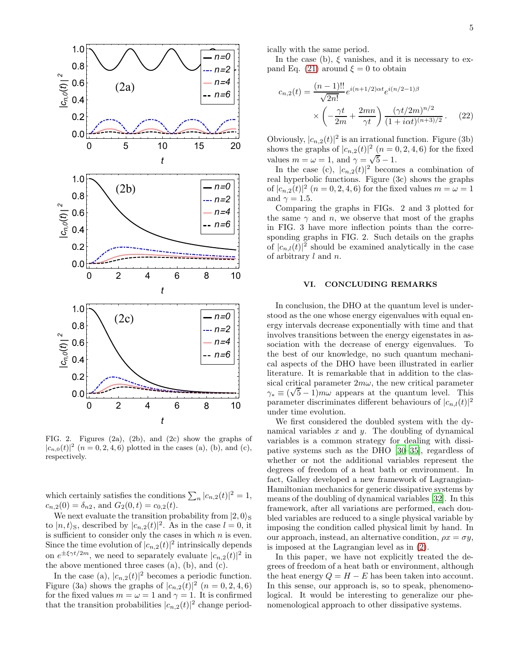

FIG. 2. Figures (2a), (2b), and (2c) show the graphs of  $|c_{n,0}(t)|^2$   $(n = 0, 2, 4, 6)$  plotted in the cases (a), (b), and (c), respectively.

which certainly satisfies the conditions  $\sum_n |c_{n,2}(t)|^2 = 1$ ,  $c_{n,2}(0) = \delta_{n2}$ , and  $G_2(0,t) = c_{0,2}(t)$ .

We next evaluate the transition probability from  $|2,0\rangle_{\rm S}$ to  $|n, t\rangle$ s, described by  $|c_{n,2}(t)|^2$ . As in the case  $l = 0$ , it is sufficient to consider only the cases in which  $n$  is even. Since the time evolution of  $|c_{n,2}(t)|^2$  intrinsically depends on  $e^{\pm \xi \gamma t/2m}$ , we need to separately evaluate  $|c_{n,2}(t)|^2$  in the above mentioned three cases  $(a)$ ,  $(b)$ , and  $(c)$ .

In the case (a),  $|c_{n,2}(t)|^2$  becomes a periodic function. Figure (3a) shows the graphs of  $|c_{n,2}(t)|^2$   $(n = 0, 2, 4, 6)$ for the fixed values  $m = \omega = 1$  and  $\gamma = 1$ . It is confirmed that the transition probabilities  $|c_{n,2}(t)|^2$  change periodically with the same period.

In the case (b),  $\xi$  vanishes, and it is necessary to ex-pand Eq. [\(21\)](#page-3-4) around  $\xi = 0$  to obtain

$$
c_{n,2}(t) = \frac{(n-1)!!}{\sqrt{2n!}} e^{i(n+1/2)\alpha t} e^{i(n/2-1)\beta}
$$

$$
\times \left( -\frac{\gamma t}{2m} + \frac{2mn}{\gamma t} \right) \frac{(\gamma t/2m)^{n/2}}{(1+i\alpha t)^{(n+3)/2}}.
$$
(22)

Obviously,  $|c_{n,2}(t)|^2$  is an irrational function. Figure (3b) shows the graphs of  $|c_{n,2}(t)|^2$   $(n = 0, 2, 4, 6)$  for the fixed values  $m = \omega = 1$ , and  $\gamma = \sqrt{5} - 1$ .

In the case (c),  $|c_{n,2}(t)|^2$  becomes a combination of real hyperbolic functions. Figure (3c) shows the graphs of  $|c_{n,2}(t)|^2$   $(n = 0, 2, 4, 6)$  for the fixed values  $m = \omega = 1$ and  $\gamma = 1.5$ .

Comparing the graphs in FIGs. 2 and 3 plotted for the same  $\gamma$  and n, we observe that most of the graphs in FIG. 3 have more inflection points than the corresponding graphs in FIG. 2. Such details on the graphs of  $|c_{n,l}(t)|^2$  should be examined analytically in the case of arbitrary l and n.

## VI. CONCLUDING REMARKS

In conclusion, the DHO at the quantum level is understood as the one whose energy eigenvalues with equal energy intervals decrease exponentially with time and that involves transitions between the energy eigenstates in association with the decrease of energy eigenvalues. To the best of our knowledge, no such quantum mechanical aspects of the DHO have been illustrated in earlier literature. It is remarkable that in addition to the classical critical parameter  $2m\omega$ , the new critical parameter  $\gamma_* \equiv (\sqrt{5}-1) m \omega$  appears at the quantum level. This parameter discriminates different behaviours of  $|c_{n,l}(t)|^2$ under time evolution.

We first considered the doubled system with the dynamical variables  $x$  and  $y$ . The doubling of dynamical variables is a common strategy for dealing with dissipative systems such as the DHO [\[30](#page-6-15)[–35\]](#page-6-16), regardless of whether or not the additional variables represent the degrees of freedom of a heat bath or environment. In fact, Galley developed a new framework of Lagrangian-Hamiltonian mechanics for generic dissipative systems by means of the doubling of dynamical variables [\[32\]](#page-6-17). In this framework, after all variations are performed, each doubled variables are reduced to a single physical variable by imposing the condition called physical limit by hand. In our approach, instead, an alternative condition,  $\rho x = \sigma y$ , is imposed at the Lagrangian level as in [\(2\)](#page-0-2).

In this paper, we have not explicitly treated the degrees of freedom of a heat bath or environment, although the heat energy  $Q = H - E$  has been taken into account. In this sense, our approach is, so to speak, phenomenological. It would be interesting to generalize our phenomenological approach to other dissipative systems.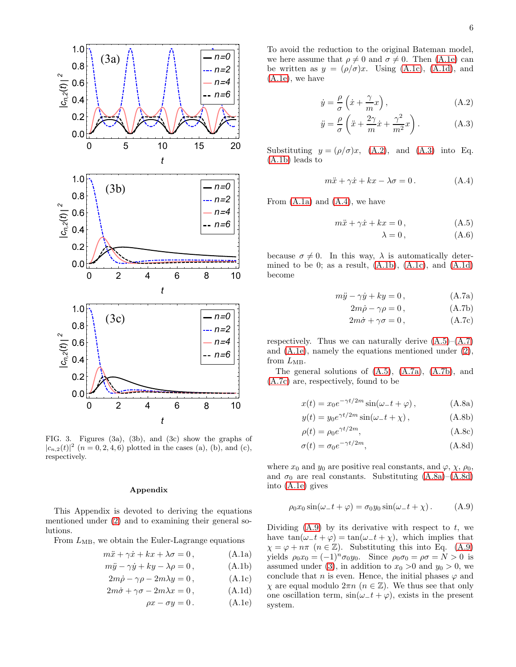

FIG. 3. Figures (3a), (3b), and (3c) show the graphs of  $|c_{n,2}(t)|^2$   $(n = 0, 2, 4, 6)$  plotted in the cases (a), (b), and (c), respectively.

# Appendix

This Appendix is devoted to deriving the equations mentioned under [\(2\)](#page-0-2) and to examining their general solutions.

From  $L_{MB}$ , we obtain the Euler-Lagrange equations

$$
m\ddot{x} + \gamma \dot{x} + kx + \lambda \sigma = 0, \qquad (A.1a)
$$

$$
m\ddot{y} - \gamma \dot{y} + ky - \lambda \rho = 0, \qquad (A.1b)
$$

$$
2m\dot{\rho} - \gamma \rho - 2m\lambda y = 0, \qquad (A.1c)
$$

$$
2m\dot{\sigma} + \gamma \sigma - 2m\lambda x = 0, \qquad (A.1d)
$$

$$
\rho x - \sigma y = 0. \tag{A.1e}
$$

To avoid the reduction to the original Bateman model, we here assume that  $\rho \neq 0$  and  $\sigma \neq 0$ . Then [\(A.1e\)](#page-5-0) can be written as  $y = (\rho/\sigma)x$ . Using [\(A.1c\)](#page-5-1), [\(A.1d\)](#page-5-2), and [\(A.1e\)](#page-5-0), we have

<span id="page-5-3"></span>
$$
\dot{y} = \frac{\rho}{\sigma} \left( \dot{x} + \frac{\gamma}{m} x \right),\tag{A.2}
$$

<span id="page-5-4"></span>
$$
\ddot{y} = \frac{\rho}{\sigma} \left( \ddot{x} + \frac{2\gamma}{m} \dot{x} + \frac{\gamma^2}{m^2} x \right). \tag{A.3}
$$

Substituting  $y = (\rho/\sigma)x$ , [\(A.2\)](#page-5-3), and [\(A.3\)](#page-5-4) into Eq. [\(A.1b\)](#page-5-5) leads to

$$
m\ddot{x} + \gamma \dot{x} + kx - \lambda \sigma = 0.
$$
 (A.4)

From  $(A.1a)$  and  $(A.4)$ , we have

$$
m\ddot{x} + \gamma \dot{x} + kx = 0, \qquad (A.5)
$$

<span id="page-5-10"></span><span id="page-5-8"></span><span id="page-5-7"></span>
$$
\lambda = 0 \,, \tag{A.6}
$$

<span id="page-5-9"></span>because  $\sigma \neq 0$ . In this way,  $\lambda$  is automatically determined to be 0; as a result,  $(A.1b)$ ,  $(A.1c)$ , and  $(A.1d)$ become

$$
m\ddot{y} - \gamma \dot{y} + ky = 0, \qquad (A.7a)
$$

$$
2m\dot{\rho} - \gamma \rho = 0, \qquad (A.7b)
$$

<span id="page-5-13"></span><span id="page-5-12"></span><span id="page-5-11"></span>
$$
2m\dot{\sigma} + \gamma \sigma = 0, \qquad (A.7c)
$$

respectively. Thus we can naturally derive  $(A.5)$ – $(A.7)$ and [\(A.1e\)](#page-5-0), namely the equations mentioned under [\(2\)](#page-0-2), from  $L_{MB}$ .

The general solutions of [\(A.5\)](#page-5-8), [\(A.7a\)](#page-5-10), [\(A.7b\)](#page-5-11), and [\(A.7c\)](#page-5-12) are, respectively, found to be

$$
x(t) = x_0 e^{-\gamma t/2m} \sin(\omega_- t + \varphi), \qquad (A.8a)
$$

$$
y(t) = y_0 e^{\gamma t/2m} \sin(\omega_- t + \chi), \qquad (A.8b)
$$

<span id="page-5-14"></span>
$$
\rho(t) = \rho_0 e^{\gamma t/2m},\tag{A.8c}
$$

<span id="page-5-15"></span>
$$
\sigma(t) = \sigma_0 e^{-\gamma t/2m},\tag{A.8d}
$$

where  $x_0$  and  $y_0$  are positive real constants, and  $\varphi$ ,  $\chi$ ,  $\rho_0$ , and  $\sigma_0$  are real constants. Substituting  $(A.8a)$ – $(A.8d)$ into [\(A.1e\)](#page-5-0) gives

$$
\rho_0 x_0 \sin(\omega_- t + \varphi) = \sigma_0 y_0 \sin(\omega_- t + \chi). \tag{A.9}
$$

<span id="page-5-6"></span><span id="page-5-5"></span><span id="page-5-2"></span><span id="page-5-1"></span><span id="page-5-0"></span>Dividing  $(A.9)$  by its derivative with respect to t, we have  $tan(\omega_{-}t + \varphi) = tan(\omega_{-}t + \chi)$ , which implies that  $\chi = \varphi + n\pi \ \ (n \in \mathbb{Z})$ . Substituting this into Eq. [\(A.9\)](#page-5-15) yields  $\rho_0 x_0 = (-1)^n \sigma_0 y_0$ . Since  $\rho_0 \sigma_0 = \rho \sigma = N > 0$  is assumed under [\(3\)](#page-1-0), in addition to  $x_0 > 0$  and  $y_0 > 0$ , we conclude that n is even. Hence, the initial phases  $\varphi$  and  $\chi$  are equal modulo  $2\pi n$  ( $n \in \mathbb{Z}$ ). We thus see that only one oscillation term,  $\sin(\omega_{-}t + \varphi)$ , exists in the present system.